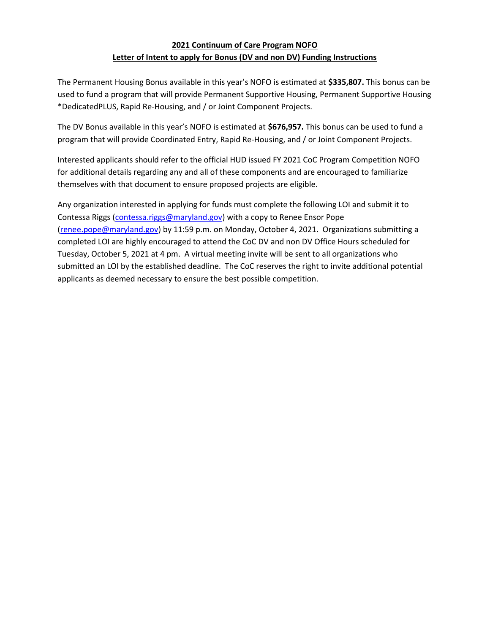## 2021 Continuum of Care Program NOFO Letter of Intent to apply for Bonus (DV and non DV) Funding Instructions

The Permanent Housing Bonus available in this year's NOFO is estimated at \$335,807. This bonus can be used to fund a program that will provide Permanent Supportive Housing, Permanent Supportive Housing \*DedicatedPLUS, Rapid Re-Housing, and / or Joint Component Projects.

The DV Bonus available in this year's NOFO is estimated at \$676,957. This bonus can be used to fund a program that will provide Coordinated Entry, Rapid Re-Housing, and / or Joint Component Projects.

Interested applicants should refer to the official HUD issued FY 2021 CoC Program Competition NOFO for additional details regarding any and all of these components and are encouraged to familiarize themselves with that document to ensure proposed projects are eligible.

Any organization interested in applying for funds must complete the following LOI and submit it to Contessa Riggs (contessa.riggs@maryland.gov) with a copy to Renee Ensor Pope (renee.pope@maryland.gov) by 11:59 p.m. on Monday, October 4, 2021. Organizations submitting a completed LOI are highly encouraged to attend the CoC DV and non DV Office Hours scheduled for Tuesday, October 5, 2021 at 4 pm. A virtual meeting invite will be sent to all organizations who submitted an LOI by the established deadline. The CoC reserves the right to invite additional potential applicants as deemed necessary to ensure the best possible competition.